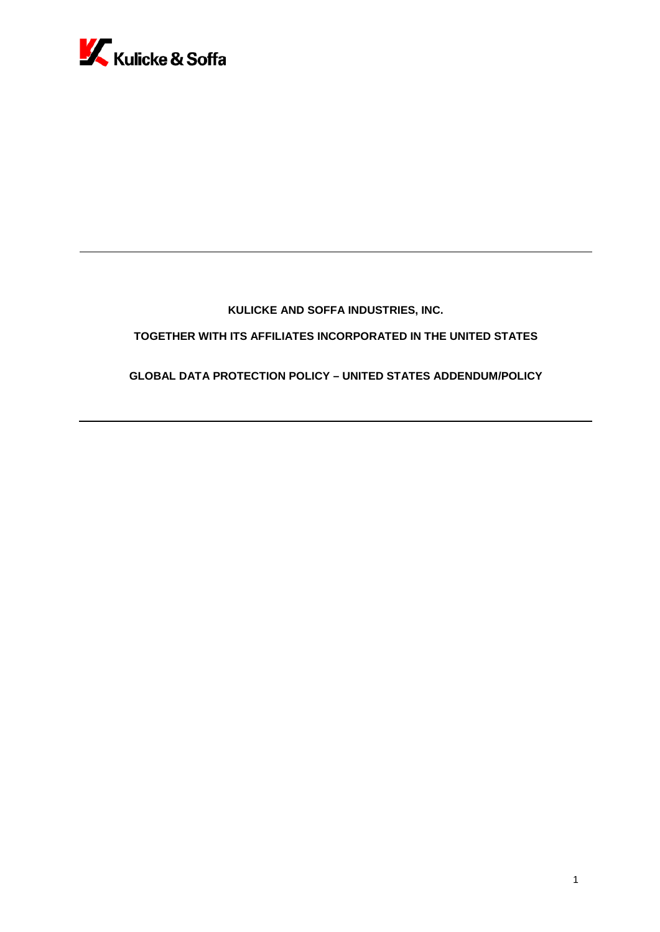

# **KULICKE AND SOFFA INDUSTRIES, INC.**

# **TOGETHER WITH ITS AFFILIATES INCORPORATED IN THE UNITED STATES**

## **GLOBAL DATA PROTECTION POLICY – UNITED STATES ADDENDUM/POLICY**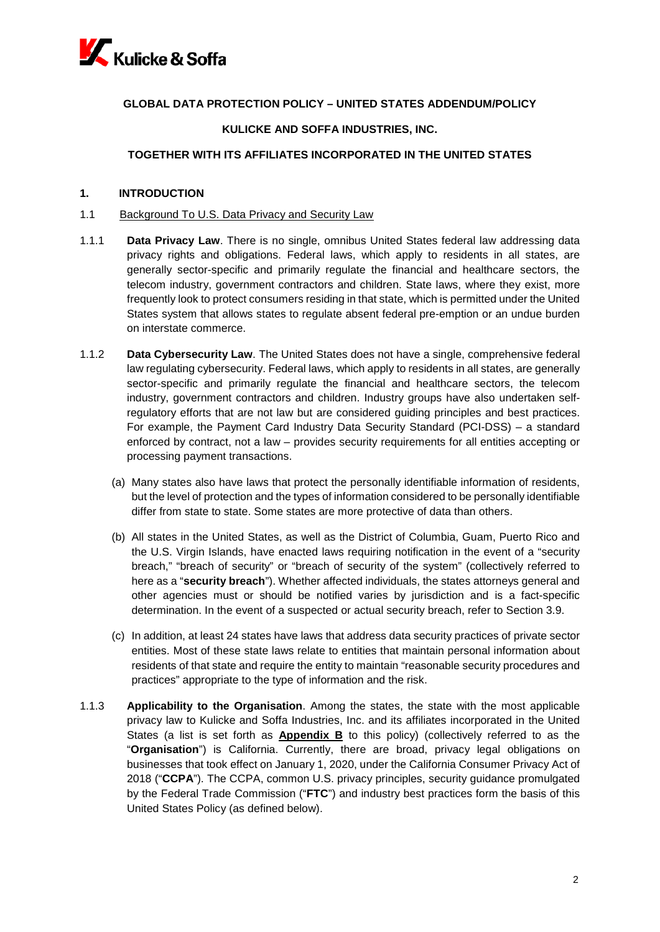

## **GLOBAL DATA PROTECTION POLICY – UNITED STATES ADDENDUM/POLICY**

### **KULICKE AND SOFFA INDUSTRIES, INC.**

#### **TOGETHER WITH ITS AFFILIATES INCORPORATED IN THE UNITED STATES**

#### **1. INTRODUCTION**

#### 1.1 Background To U.S. Data Privacy and Security Law

- 1.1.1 **Data Privacy Law**. There is no single, omnibus United States federal law addressing data privacy rights and obligations. Federal laws, which apply to residents in all states, are generally sector-specific and primarily regulate the financial and healthcare sectors, the telecom industry, government contractors and children. State laws, where they exist, more frequently look to protect consumers residing in that state, which is permitted under the United States system that allows states to regulate absent federal pre-emption or an undue burden on interstate commerce.
- 1.1.2 **Data Cybersecurity Law**. The United States does not have a single, comprehensive federal law regulating cybersecurity. Federal laws, which apply to residents in all states, are generally sector-specific and primarily regulate the financial and healthcare sectors, the telecom industry, government contractors and children. Industry groups have also undertaken selfregulatory efforts that are not law but are considered guiding principles and best practices. For example, the Payment Card Industry Data Security Standard (PCI-DSS) – a standard enforced by contract, not a law – provides security requirements for all entities accepting or processing payment transactions.
	- (a) Many states also have laws that protect the personally identifiable information of residents, but the level of protection and the types of information considered to be personally identifiable differ from state to state. Some states are more protective of data than others.
	- (b) All states in the United States, as well as the District of Columbia, Guam, Puerto Rico and the U.S. Virgin Islands, have enacted laws requiring notification in the event of a "security breach," "breach of security" or "breach of security of the system" (collectively referred to here as a "**security breach**"). Whether affected individuals, the states attorneys general and other agencies must or should be notified varies by jurisdiction and is a fact-specific determination. In the event of a suspected or actual security breach, refer to Section 3.9.
	- (c) In addition, at least 24 states have laws that address data security practices of private sector entities. Most of these state laws relate to entities that maintain personal information about residents of that state and require the entity to maintain "reasonable security procedures and practices" appropriate to the type of information and the risk.
- 1.1.3 **Applicability to the Organisation**. Among the states, the state with the most applicable privacy law to Kulicke and Soffa Industries, Inc. and its affiliates incorporated in the United States (a list is set forth as **Appendix B** to this policy) (collectively referred to as the "**Organisation**") is California. Currently, there are broad, privacy legal obligations on businesses that took effect on January 1, 2020, under the California Consumer Privacy Act of 2018 ("**CCPA**"). The CCPA, common U.S. privacy principles, security guidance promulgated by the Federal Trade Commission ("**FTC**") and industry best practices form the basis of this United States Policy (as defined below).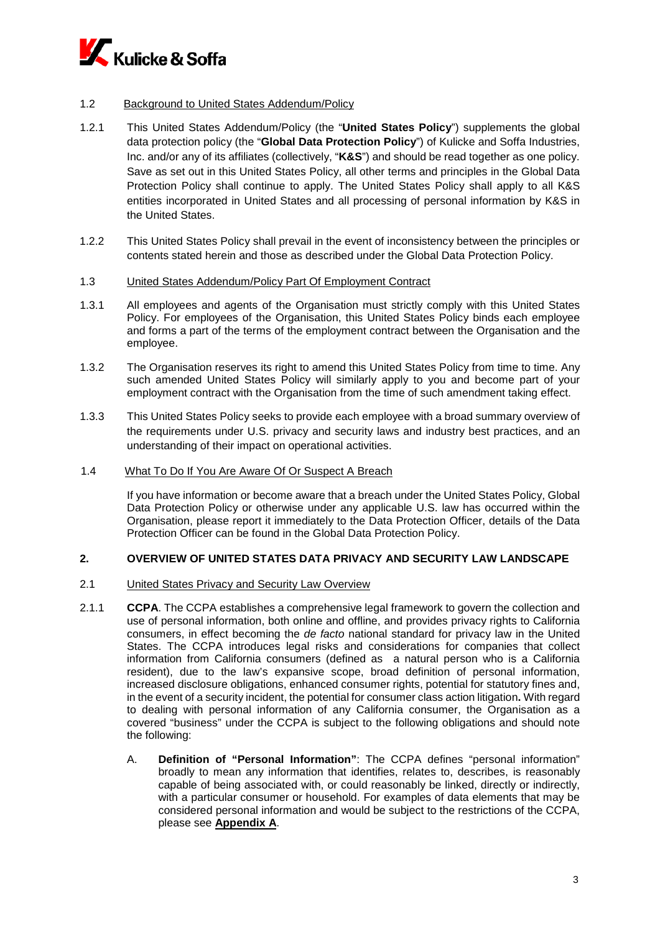

### 1.2 Background to United States Addendum/Policy

- 1.2.1 This United States Addendum/Policy (the "**United States Policy**") supplements the global data protection policy (the "**Global Data Protection Policy**") of Kulicke and Soffa Industries, Inc. and/or any of its affiliates (collectively, "**K&S**") and should be read together as one policy. Save as set out in this United States Policy, all other terms and principles in the Global Data Protection Policy shall continue to apply. The United States Policy shall apply to all K&S entities incorporated in United States and all processing of personal information by K&S in the United States.
- 1.2.2 This United States Policy shall prevail in the event of inconsistency between the principles or contents stated herein and those as described under the Global Data Protection Policy.

#### 1.3 United States Addendum/Policy Part Of Employment Contract

- 1.3.1 All employees and agents of the Organisation must strictly comply with this United States Policy. For employees of the Organisation, this United States Policy binds each employee and forms a part of the terms of the employment contract between the Organisation and the employee.
- 1.3.2 The Organisation reserves its right to amend this United States Policy from time to time. Any such amended United States Policy will similarly apply to you and become part of your employment contract with the Organisation from the time of such amendment taking effect.
- 1.3.3 This United States Policy seeks to provide each employee with a broad summary overview of the requirements under U.S. privacy and security laws and industry best practices, and an understanding of their impact on operational activities.
- 1.4 What To Do If You Are Aware Of Or Suspect A Breach

If you have information or become aware that a breach under the United States Policy, Global Data Protection Policy or otherwise under any applicable U.S. law has occurred within the Organisation, please report it immediately to the Data Protection Officer, details of the Data Protection Officer can be found in the Global Data Protection Policy.

### **2. OVERVIEW OF UNITED STATES DATA PRIVACY AND SECURITY LAW LANDSCAPE**

- 2.1 United States Privacy and Security Law Overview
- 2.1.1 **CCPA**. The CCPA establishes a comprehensive legal framework to govern the collection and use of personal information, both online and offline, and provides privacy rights to California consumers, in effect becoming the *de facto* national standard for privacy law in the United States. The CCPA introduces legal risks and considerations for companies that collect information from California consumers (defined as a natural person who is a California resident), due to the law's expansive scope, broad definition of personal information, increased disclosure obligations, enhanced consumer rights, potential for statutory fines and, in the event of a security incident, the potential for consumer class action litigation**.** With regard to dealing with personal information of any California consumer, the Organisation as a covered "business" under the CCPA is subject to the following obligations and should note the following:
	- A. **Definition of "Personal Information"**: The CCPA defines "personal information" broadly to mean any information that identifies, relates to, describes, is reasonably capable of being associated with, or could reasonably be linked, directly or indirectly, with a particular consumer or household. For examples of data elements that may be considered personal information and would be subject to the restrictions of the CCPA, please see **Appendix A**.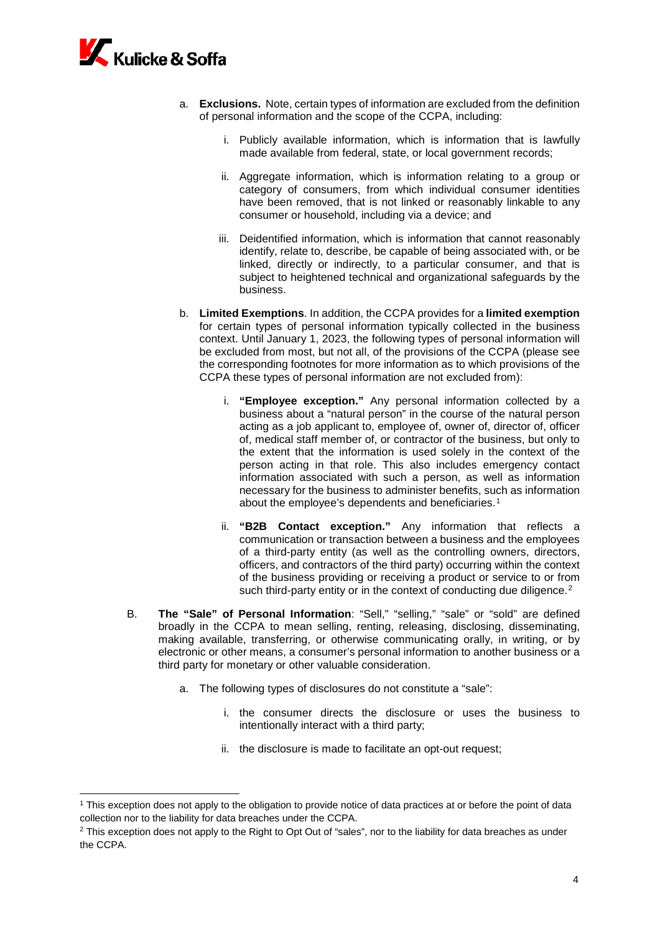

**.** 

- a. **Exclusions.** Note, certain types of information are excluded from the definition of personal information and the scope of the CCPA, including:
	- i. Publicly available information, which is information that is lawfully made available from federal, state, or local government records;
	- ii. Aggregate information, which is information relating to a group or category of consumers, from which individual consumer identities have been removed, that is not linked or reasonably linkable to any consumer or household, including via a device; and
	- iii. Deidentified information, which is information that cannot reasonably identify, relate to, describe, be capable of being associated with, or be linked, directly or indirectly, to a particular consumer, and that is subject to heightened technical and organizational safeguards by the business.
- b. **Limited Exemptions**. In addition, the CCPA provides for a **limited exemption** for certain types of personal information typically collected in the business context. Until January 1, 2023, the following types of personal information will be excluded from most, but not all, of the provisions of the CCPA (please see the corresponding footnotes for more information as to which provisions of the CCPA these types of personal information are not excluded from):
	- i. **"Employee exception."** Any personal information collected by a business about a "natural person" in the course of the natural person acting as a job applicant to, employee of, owner of, director of, officer of, medical staff member of, or contractor of the business, but only to the extent that the information is used solely in the context of the person acting in that role. This also includes emergency contact information associated with such a person, as well as information necessary for the business to administer benefits, such as information about the employee's dependents and beneficiaries.<sup>[1](#page-3-0)</sup>
	- ii. **"B2B Contact exception."** Any information that reflects a communication or transaction between a business and the employees of a third-party entity (as well as the controlling owners, directors, officers, and contractors of the third party) occurring within the context of the business providing or receiving a product or service to or from such third-party entity or in the context of conducting due diligence.<sup>[2](#page-3-1)</sup>
- B. **The "Sale" of Personal Information**: "Sell," "selling," "sale" or "sold" are defined broadly in the CCPA to mean selling, renting, releasing, disclosing, disseminating, making available, transferring, or otherwise communicating orally, in writing, or by electronic or other means, a consumer's personal information to another business or a third party for monetary or other valuable consideration.
	- a. The following types of disclosures do not constitute a "sale":
		- i. the consumer directs the disclosure or uses the business to intentionally interact with a third party;
		- ii. the disclosure is made to facilitate an opt-out request;

<span id="page-3-0"></span><sup>1</sup> This exception does not apply to the obligation to provide notice of data practices at or before the point of data collection nor to the liability for data breaches under the CCPA.

<span id="page-3-1"></span><sup>&</sup>lt;sup>2</sup> This exception does not apply to the Right to Opt Out of "sales", nor to the liability for data breaches as under the CCPA.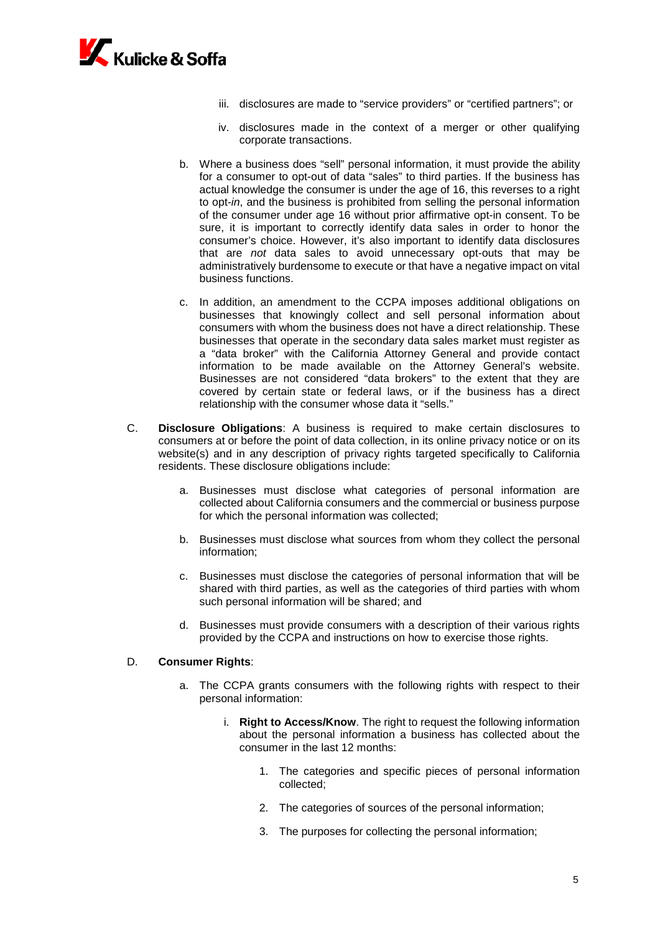

- iii. disclosures are made to "service providers" or "certified partners"; or
- iv. disclosures made in the context of a merger or other qualifying corporate transactions.
- b. Where a business does "sell" personal information, it must provide the ability for a consumer to opt-out of data "sales" to third parties. If the business has actual knowledge the consumer is under the age of 16, this reverses to a right to opt-*in*, and the business is prohibited from selling the personal information of the consumer under age 16 without prior affirmative opt-in consent. To be sure, it is important to correctly identify data sales in order to honor the consumer's choice. However, it's also important to identify data disclosures that are *not* data sales to avoid unnecessary opt-outs that may be administratively burdensome to execute or that have a negative impact on vital business functions.
- c. In addition, an amendment to the CCPA imposes additional obligations on businesses that knowingly collect and sell personal information about consumers with whom the business does not have a direct relationship. These businesses that operate in the secondary data sales market must register as a "data broker" with the California Attorney General and provide contact information to be made available on the Attorney General's website. Businesses are not considered "data brokers" to the extent that they are covered by certain state or federal laws, or if the business has a direct relationship with the consumer whose data it "sells."
- C. **Disclosure Obligations**: A business is required to make certain disclosures to consumers at or before the point of data collection, in its online privacy notice or on its website(s) and in any description of privacy rights targeted specifically to California residents. These disclosure obligations include:
	- a. Businesses must disclose what categories of personal information are collected about California consumers and the commercial or business purpose for which the personal information was collected;
	- b. Businesses must disclose what sources from whom they collect the personal information;
	- c. Businesses must disclose the categories of personal information that will be shared with third parties, as well as the categories of third parties with whom such personal information will be shared; and
	- d. Businesses must provide consumers with a description of their various rights provided by the CCPA and instructions on how to exercise those rights.

#### D. **Consumer Rights**:

- a. The CCPA grants consumers with the following rights with respect to their personal information:
	- i. **Right to Access/Know**. The right to request the following information about the personal information a business has collected about the consumer in the last 12 months:
		- 1. The categories and specific pieces of personal information collected;
		- 2. The categories of sources of the personal information;
		- 3. The purposes for collecting the personal information;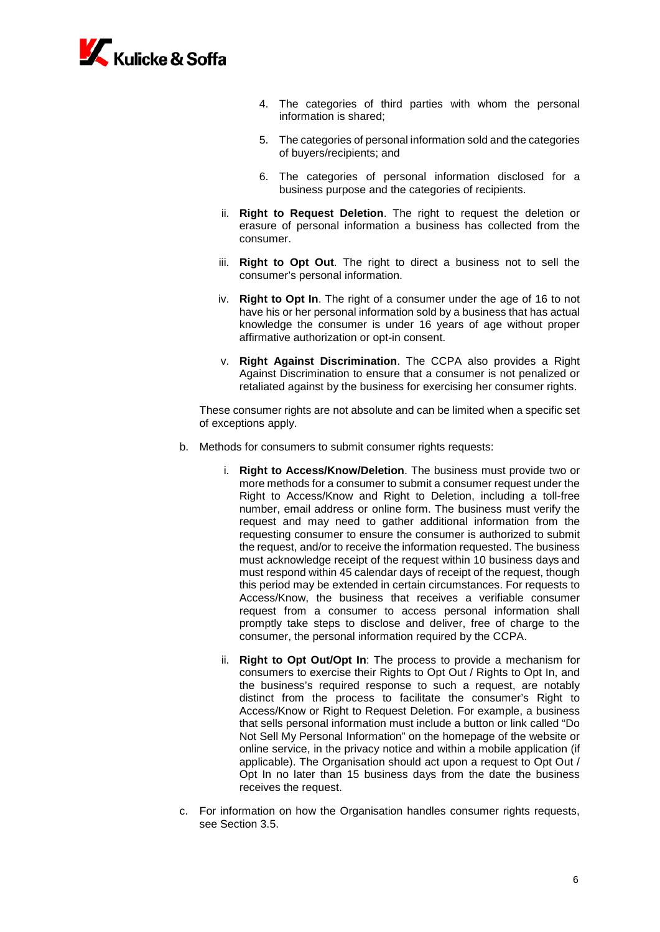

- 4. The categories of third parties with whom the personal information is shared;
- 5. The categories of personal information sold and the categories of buyers/recipients; and
- 6. The categories of personal information disclosed for a business purpose and the categories of recipients.
- ii. **Right to Request Deletion**. The right to request the deletion or erasure of personal information a business has collected from the consumer.
- iii. **Right to Opt Out**. The right to direct a business not to sell the consumer's personal information.
- iv. **Right to Opt In**. The right of a consumer under the age of 16 to not have his or her personal information sold by a business that has actual knowledge the consumer is under 16 years of age without proper affirmative authorization or opt-in consent.
- v. **Right Against Discrimination**. The CCPA also provides a Right Against Discrimination to ensure that a consumer is not penalized or retaliated against by the business for exercising her consumer rights.

These consumer rights are not absolute and can be limited when a specific set of exceptions apply.

- b. Methods for consumers to submit consumer rights requests:
	- i. **Right to Access/Know/Deletion**. The business must provide two or more methods for a consumer to submit a consumer request under the Right to Access/Know and Right to Deletion, including a toll-free number, email address or online form. The business must verify the request and may need to gather additional information from the requesting consumer to ensure the consumer is authorized to submit the request, and/or to receive the information requested. The business must acknowledge receipt of the request within 10 business days and must respond within 45 calendar days of receipt of the request, though this period may be extended in certain circumstances. For requests to Access/Know, the business that receives a verifiable consumer request from a consumer to access personal information shall promptly take steps to disclose and deliver, free of charge to the consumer, the personal information required by the CCPA.
	- ii. **Right to Opt Out/Opt In**: The process to provide a mechanism for consumers to exercise their Rights to Opt Out / Rights to Opt In, and the business's required response to such a request, are notably distinct from the process to facilitate the consumer's Right to Access/Know or Right to Request Deletion. For example, a business that sells personal information must include a button or link called "Do Not Sell My Personal Information" on the homepage of the website or online service, in the privacy notice and within a mobile application (if applicable). The Organisation should act upon a request to Opt Out / Opt In no later than 15 business days from the date the business receives the request.
- c. For information on how the Organisation handles consumer rights requests, see Section 3.5.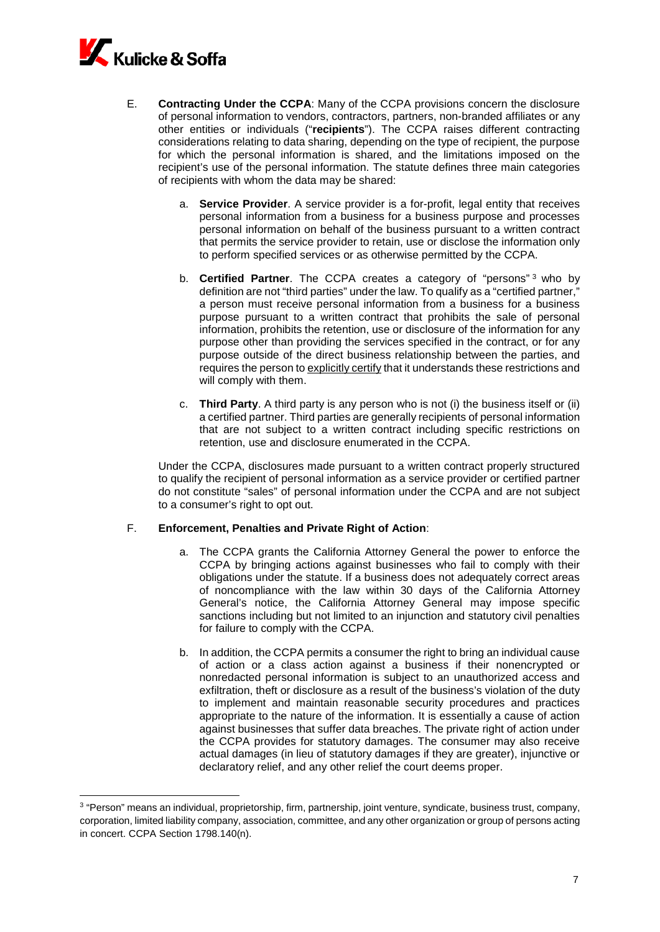

<u>.</u>

- E. **Contracting Under the CCPA**: Many of the CCPA provisions concern the disclosure of personal information to vendors, contractors, partners, non-branded affiliates or any other entities or individuals ("**recipients**"). The CCPA raises different contracting considerations relating to data sharing, depending on the type of recipient, the purpose for which the personal information is shared, and the limitations imposed on the recipient's use of the personal information. The statute defines three main categories of recipients with whom the data may be shared:
	- a. **Service Provider**. A service provider is a for-profit, legal entity that receives personal information from a business for a business purpose and processes personal information on behalf of the business pursuant to a written contract that permits the service provider to retain, use or disclose the information only to perform specified services or as otherwise permitted by the CCPA.
	- b. **Certified Partner**. The CCPA creates a category of "persons"<sup>[3](#page-6-0)</sup> who by definition are not "third parties" under the law. To qualify as a "certified partner," a person must receive personal information from a business for a business purpose pursuant to a written contract that prohibits the sale of personal information, prohibits the retention, use or disclosure of the information for any purpose other than providing the services specified in the contract, or for any purpose outside of the direct business relationship between the parties, and requires the person to explicitly certify that it understands these restrictions and will comply with them.
	- c. **Third Party**. A third party is any person who is not (i) the business itself or (ii) a certified partner. Third parties are generally recipients of personal information that are not subject to a written contract including specific restrictions on retention, use and disclosure enumerated in the CCPA.

Under the CCPA, disclosures made pursuant to a written contract properly structured to qualify the recipient of personal information as a service provider or certified partner do not constitute "sales" of personal information under the CCPA and are not subject to a consumer's right to opt out.

### F. **Enforcement, Penalties and Private Right of Action**:

- a. The CCPA grants the California Attorney General the power to enforce the CCPA by bringing actions against businesses who fail to comply with their obligations under the statute. If a business does not adequately correct areas of noncompliance with the law within 30 days of the California Attorney General's notice, the California Attorney General may impose specific sanctions including but not limited to an injunction and statutory civil penalties for failure to comply with the CCPA.
- b. In addition, the CCPA permits a consumer the right to bring an individual cause of action or a class action against a business if their nonencrypted or nonredacted personal information is subject to an unauthorized access and exfiltration, theft or disclosure as a result of the business's violation of the duty to implement and maintain reasonable security procedures and practices appropriate to the nature of the information. It is essentially a cause of action against businesses that suffer data breaches. The private right of action under the CCPA provides for statutory damages. The consumer may also receive actual damages (in lieu of statutory damages if they are greater), injunctive or declaratory relief, and any other relief the court deems proper.

<span id="page-6-0"></span><sup>3</sup> "Person" means an individual, proprietorship, firm, partnership, joint venture, syndicate, business trust, company, corporation, limited liability company, association, committee, and any other organization or group of persons acting in concert. CCPA Section 1798.140(n).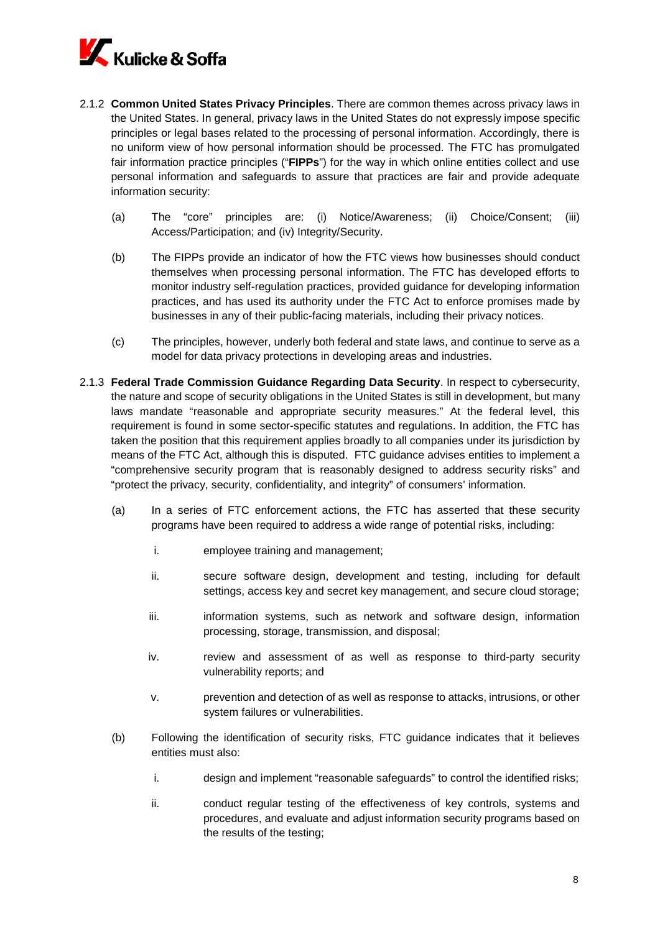

- 2.1.2 **Common United States Privacy Principles**. There are common themes across privacy laws in the United States. In general, privacy laws in the United States do not expressly impose specific principles or legal bases related to the processing of personal information. Accordingly, there is no uniform view of how personal information should be processed. The FTC has promulgated fair information practice principles ("**FIPPs**") for the way in which online entities collect and use personal information and safeguards to assure that practices are fair and provide adequate information security:
	- (a) The "core" principles are: (i) Notice/Awareness; (ii) Choice/Consent; (iii) Access/Participation; and (iv) Integrity/Security.
	- (b) The FIPPs provide an indicator of how the FTC views how businesses should conduct themselves when processing personal information. The FTC has developed efforts to monitor industry self-regulation practices, provided guidance for developing information practices, and has used its authority under the FTC Act to enforce promises made by businesses in any of their public-facing materials, including their privacy notices.
	- (c) The principles, however, underly both federal and state laws, and continue to serve as a model for data privacy protections in developing areas and industries.
- 2.1.3 **Federal Trade Commission Guidance Regarding Data Security**. In respect to cybersecurity, the nature and scope of security obligations in the United States is still in development, but many laws mandate "reasonable and appropriate security measures." At the federal level, this requirement is found in some sector-specific statutes and regulations. In addition, the FTC has taken the position that this requirement applies broadly to all companies under its jurisdiction by means of the FTC Act, although this is disputed. FTC guidance advises entities to implement a "comprehensive security program that is reasonably designed to address security risks" and "protect the privacy, security, confidentiality, and integrity" of consumers' information.
	- (a) In a series of FTC enforcement actions, the FTC has asserted that these security programs have been required to address a wide range of potential risks, including:
		- i. employee training and management;
		- ii. secure software design, development and testing, including for default settings, access key and secret key management, and secure cloud storage;
		- iii. information systems, such as network and software design, information processing, storage, transmission, and disposal;
		- iv. review and assessment of as well as response to third-party security vulnerability reports; and
		- v. prevention and detection of as well as response to attacks, intrusions, or other system failures or vulnerabilities.
	- (b) Following the identification of security risks, FTC guidance indicates that it believes entities must also:
		- i. design and implement "reasonable safeguards" to control the identified risks;
		- ii. conduct regular testing of the effectiveness of key controls, systems and procedures, and evaluate and adjust information security programs based on the results of the testing;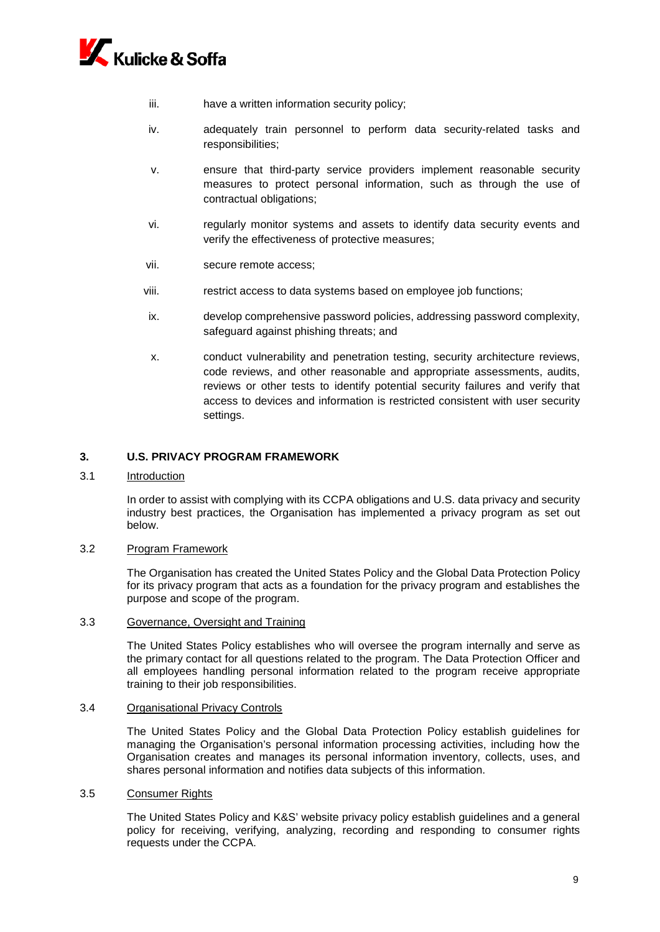

- iii. have a written information security policy;
- iv. adequately train personnel to perform data security-related tasks and responsibilities;
- v. ensure that third-party service providers implement reasonable security measures to protect personal information, such as through the use of contractual obligations;
- vi. regularly monitor systems and assets to identify data security events and verify the effectiveness of protective measures;
- vii. secure remote access;
- viii. restrict access to data systems based on employee job functions;
- ix. develop comprehensive password policies, addressing password complexity, safeguard against phishing threats; and
- x. conduct vulnerability and penetration testing, security architecture reviews, code reviews, and other reasonable and appropriate assessments, audits, reviews or other tests to identify potential security failures and verify that access to devices and information is restricted consistent with user security settings.

#### **3. U.S. PRIVACY PROGRAM FRAMEWORK**

3.1 Introduction

In order to assist with complying with its CCPA obligations and U.S. data privacy and security industry best practices, the Organisation has implemented a privacy program as set out below.

#### 3.2 Program Framework

The Organisation has created the United States Policy and the Global Data Protection Policy for its privacy program that acts as a foundation for the privacy program and establishes the purpose and scope of the program.

#### 3.3 Governance, Oversight and Training

The United States Policy establishes who will oversee the program internally and serve as the primary contact for all questions related to the program. The Data Protection Officer and all employees handling personal information related to the program receive appropriate training to their job responsibilities.

#### 3.4 Organisational Privacy Controls

The United States Policy and the Global Data Protection Policy establish guidelines for managing the Organisation's personal information processing activities, including how the Organisation creates and manages its personal information inventory, collects, uses, and shares personal information and notifies data subjects of this information.

#### 3.5 Consumer Rights

The United States Policy and K&S' website privacy policy establish guidelines and a general policy for receiving, verifying, analyzing, recording and responding to consumer rights requests under the CCPA.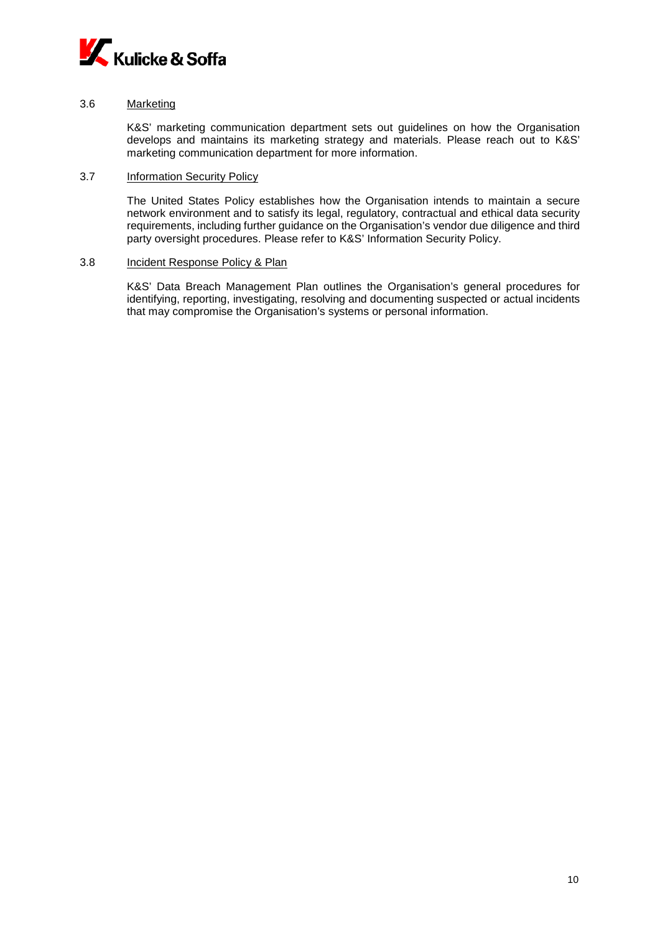

#### 3.6 Marketing

K&S' marketing communication department sets out guidelines on how the Organisation develops and maintains its marketing strategy and materials. Please reach out to K&S' marketing communication department for more information.

#### 3.7 Information Security Policy

The United States Policy establishes how the Organisation intends to maintain a secure network environment and to satisfy its legal, regulatory, contractual and ethical data security requirements, including further guidance on the Organisation's vendor due diligence and third party oversight procedures. Please refer to K&S' Information Security Policy.

#### 3.8 Incident Response Policy & Plan

K&S' Data Breach Management Plan outlines the Organisation's general procedures for identifying, reporting, investigating, resolving and documenting suspected or actual incidents that may compromise the Organisation's systems or personal information.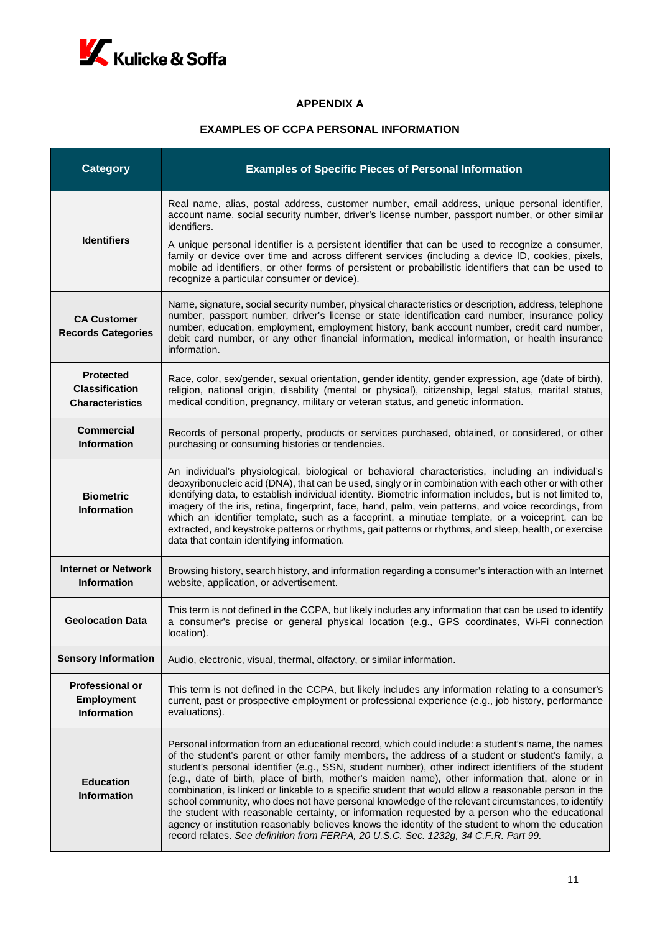

## **APPENDIX A**

## **EXAMPLES OF CCPA PERSONAL INFORMATION**

| <b>Category</b>                                                     | <b>Examples of Specific Pieces of Personal Information</b>                                                                                                                                                                                                                                                                                                                                                                                                                                                                                                                                                                                                                                                                                                                                                                                                                                                                    |
|---------------------------------------------------------------------|-------------------------------------------------------------------------------------------------------------------------------------------------------------------------------------------------------------------------------------------------------------------------------------------------------------------------------------------------------------------------------------------------------------------------------------------------------------------------------------------------------------------------------------------------------------------------------------------------------------------------------------------------------------------------------------------------------------------------------------------------------------------------------------------------------------------------------------------------------------------------------------------------------------------------------|
| <b>Identifiers</b>                                                  | Real name, alias, postal address, customer number, email address, unique personal identifier,<br>account name, social security number, driver's license number, passport number, or other similar<br>identifiers.                                                                                                                                                                                                                                                                                                                                                                                                                                                                                                                                                                                                                                                                                                             |
|                                                                     | A unique personal identifier is a persistent identifier that can be used to recognize a consumer,<br>family or device over time and across different services (including a device ID, cookies, pixels,<br>mobile ad identifiers, or other forms of persistent or probabilistic identifiers that can be used to<br>recognize a particular consumer or device).                                                                                                                                                                                                                                                                                                                                                                                                                                                                                                                                                                 |
| <b>CA Customer</b><br><b>Records Categories</b>                     | Name, signature, social security number, physical characteristics or description, address, telephone<br>number, passport number, driver's license or state identification card number, insurance policy<br>number, education, employment, employment history, bank account number, credit card number,<br>debit card number, or any other financial information, medical information, or health insurance<br>information.                                                                                                                                                                                                                                                                                                                                                                                                                                                                                                     |
| <b>Protected</b><br><b>Classification</b><br><b>Characteristics</b> | Race, color, sex/gender, sexual orientation, gender identity, gender expression, age (date of birth),<br>religion, national origin, disability (mental or physical), citizenship, legal status, marital status,<br>medical condition, pregnancy, military or veteran status, and genetic information.                                                                                                                                                                                                                                                                                                                                                                                                                                                                                                                                                                                                                         |
| <b>Commercial</b><br><b>Information</b>                             | Records of personal property, products or services purchased, obtained, or considered, or other<br>purchasing or consuming histories or tendencies.                                                                                                                                                                                                                                                                                                                                                                                                                                                                                                                                                                                                                                                                                                                                                                           |
| <b>Biometric</b><br><b>Information</b>                              | An individual's physiological, biological or behavioral characteristics, including an individual's<br>deoxyribonucleic acid (DNA), that can be used, singly or in combination with each other or with other<br>identifying data, to establish individual identity. Biometric information includes, but is not limited to,<br>imagery of the iris, retina, fingerprint, face, hand, palm, vein patterns, and voice recordings, from<br>which an identifier template, such as a faceprint, a minutiae template, or a voiceprint, can be<br>extracted, and keystroke patterns or rhythms, gait patterns or rhythms, and sleep, health, or exercise<br>data that contain identifying information.                                                                                                                                                                                                                                 |
| <b>Internet or Network</b><br><b>Information</b>                    | Browsing history, search history, and information regarding a consumer's interaction with an Internet<br>website, application, or advertisement.                                                                                                                                                                                                                                                                                                                                                                                                                                                                                                                                                                                                                                                                                                                                                                              |
| <b>Geolocation Data</b>                                             | This term is not defined in the CCPA, but likely includes any information that can be used to identify<br>a consumer's precise or general physical location (e.g., GPS coordinates, Wi-Fi connection<br>location).                                                                                                                                                                                                                                                                                                                                                                                                                                                                                                                                                                                                                                                                                                            |
| <b>Sensory Information</b>                                          | Audio, electronic, visual, thermal, olfactory, or similar information.                                                                                                                                                                                                                                                                                                                                                                                                                                                                                                                                                                                                                                                                                                                                                                                                                                                        |
| <b>Professional or</b><br><b>Employment</b><br><b>Information</b>   | This term is not defined in the CCPA, but likely includes any information relating to a consumer's<br>current, past or prospective employment or professional experience (e.g., job history, performance<br>evaluations).                                                                                                                                                                                                                                                                                                                                                                                                                                                                                                                                                                                                                                                                                                     |
| <b>Education</b><br><b>Information</b>                              | Personal information from an educational record, which could include: a student's name, the names<br>of the student's parent or other family members, the address of a student or student's family, a<br>student's personal identifier (e.g., SSN, student number), other indirect identifiers of the student<br>(e.g., date of birth, place of birth, mother's maiden name), other information that, alone or in<br>combination, is linked or linkable to a specific student that would allow a reasonable person in the<br>school community, who does not have personal knowledge of the relevant circumstances, to identify<br>the student with reasonable certainty, or information requested by a person who the educational<br>agency or institution reasonably believes knows the identity of the student to whom the education<br>record relates. See definition from FERPA, 20 U.S.C. Sec. 1232g, 34 C.F.R. Part 99. |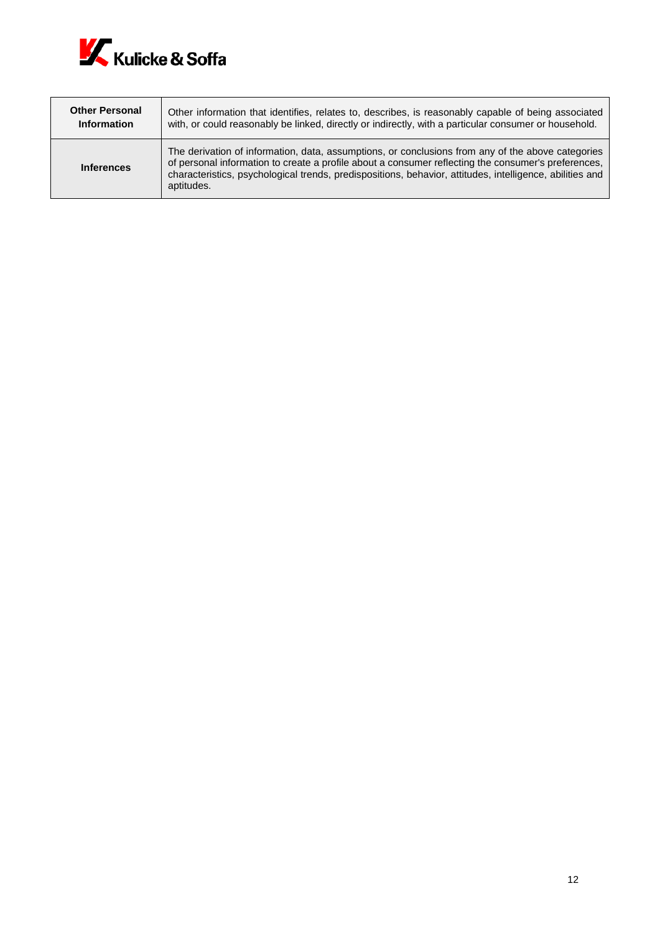

| <b>Other Personal</b> | Other information that identifies, relates to, describes, is reasonably capable of being associated                                                                                                                                                                                                                                |
|-----------------------|------------------------------------------------------------------------------------------------------------------------------------------------------------------------------------------------------------------------------------------------------------------------------------------------------------------------------------|
| <b>Information</b>    | with, or could reasonably be linked, directly or indirectly, with a particular consumer or household.                                                                                                                                                                                                                              |
| <b>Inferences</b>     | The derivation of information, data, assumptions, or conclusions from any of the above categories<br>of personal information to create a profile about a consumer reflecting the consumer's preferences,<br>characteristics, psychological trends, predispositions, behavior, attitudes, intelligence, abilities and<br>aptitudes. |